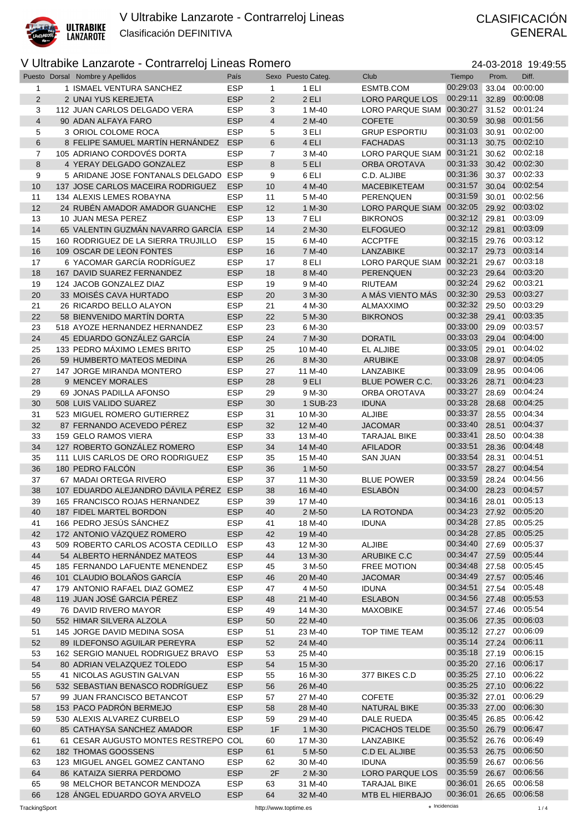

# GENERAL

| 24-03-2018 19:49:55 |  |
|---------------------|--|
|---------------------|--|

|                | Puesto Dorsal Nombre y Apellidos                            | País                     |                | Sexo Puesto Categ. | Club                        | Tiempo                    | Prom.          | Diff.                |
|----------------|-------------------------------------------------------------|--------------------------|----------------|--------------------|-----------------------------|---------------------------|----------------|----------------------|
| 1              | 1 ISMAEL VENTURA SANCHEZ                                    | <b>ESP</b>               | 1              | 1 ELI              | ESMTB.COM                   | 00:29:03                  | 33.04          | 00:00:00             |
| 2              | 2 UNAI YUS KEREJETA                                         | <b>ESP</b>               | $\overline{2}$ | 2 ELI              | <b>LORO PARQUE LOS</b>      | 00:29:11                  |                | 32.89 00:00:08       |
| 3              | 112 JUAN CARLOS DELGADO VERA                                | <b>ESP</b>               | 3              | 1 M-40             | LORO PARQUE SIAM 00:30:27   |                           |                | 31.52 00:01:24       |
| $\overline{4}$ | 90 ADAN ALFAYA FARO                                         | <b>ESP</b>               | 4              | 2 M-40             | <b>COFETE</b>               | 00:30:59                  | 30.98          | 00:01:56             |
| 5              | 3 ORIOL COLOME ROCA                                         | <b>ESP</b>               | 5              | 3 ELI              | <b>GRUP ESPORTIU</b>        | 00:31:03                  | 30.91          | 00:02:00             |
| 6              | 8 FELIPE SAMUEL MARTÍN HERNÁNDEZ                            | <b>ESP</b>               | 6              | 4 ELI              | <b>FACHADAS</b>             | 00:31:13                  | 30.75          | 00:02:10             |
| $\overline{7}$ | 105 ADRIANO CORDOVÉS DORTA                                  | <b>ESP</b>               | 7              | 3 M-40             | LORO PARQUE SIAM            | 00:31:21                  | 30.62          | 00:02:18             |
| 8              | 4 YERAY DELGADO GONZALEZ                                    | <b>ESP</b>               | 8              | 5 ELI              | ORBA OROTAVA                | 00:31:33                  |                | 30.42 00:02:30       |
| 9              | 5 ARIDANE JOSE FONTANALS DELGADO ESP                        |                          | 9              | 6 ELI              | C.D. ALJIBE                 | 00:31:36                  |                | 30.37 00:02:33       |
| 10             | 137 JOSE CARLOS MACEIRA RODRIGUEZ                           | <b>ESP</b>               | 10             | 4 M-40             | <b>MACEBIKETEAM</b>         | 00:31:57                  | 30.04          | 00:02:54             |
| 11             | 134 ALEXIS LEMES ROBAYNA                                    | <b>ESP</b>               | 11             | 5 M-40             | PERENQUEN                   | 00:31:59                  | 30.01          | 00:02:56             |
| 12             | 24 RUBEN AMADOR AMADOR GUANCHE                              | <b>ESP</b>               | 12             | 1 M-30             | LORO PARQUE SIAM 00:32:05   |                           |                | 29.92 00:03:02       |
| 13             | 10 JUAN MESA PEREZ                                          | <b>ESP</b>               | 13             | 7 ELI              | <b>BIKRONOS</b>             | 00:32:12                  | 29.81          | 00:03:09             |
| 14             | 65 VALENTIN GUZMÁN NAVARRO GARCÍA ESP                       |                          | 14             | 2 M-30             | <b>ELFOGUEO</b>             | 00:32:12                  | 29.81          | 00:03:09             |
| 15             | 160 RODRIGUEZ DE LA SIERRA TRUJILLO                         | <b>ESP</b>               | 15             | 6 M-40             | <b>ACCPTFE</b>              | 00:32:15                  |                | 29.76 00:03:12       |
| 16             | 109 OSCAR DE LEON FONTES                                    | <b>ESP</b>               | 16             | 7 M-40             | LANZABIKE                   | 00:32:17                  | 29.73          | 00:03:14             |
| 17             | 6 YACOMAR GARCÍA RODRÍGUEZ                                  | <b>ESP</b>               | 17             | 8 ELI              | <b>LORO PARQUE SIAM</b>     | 00:32:21                  | 29.67          | 00:03:18             |
| 18             | 167 DAVID SUAREZ FERNANDEZ                                  | <b>ESP</b>               | 18             | 8 M-40             | <b>PERENQUEN</b>            | 00:32:23                  | 29.64          | 00:03:20             |
| 19             | 124 JACOB GONZALEZ DIAZ                                     | <b>ESP</b>               | 19             | 9 M-40             | <b>RIUTEAM</b>              | 00:32:24                  | 29.62          | 00:03:21             |
| 20             | 33 MOISÉS CAVA HURTADO                                      | <b>ESP</b>               | 20             | 3 M-30             | A MÁS VIENTO MÁS            | 00:32:30                  |                | 29.53 00:03:27       |
| 21             | 26 RICARDO BELLO ALAYON                                     | <b>ESP</b>               | 21             | 4 M-30             | <b>ALMAXXIMO</b>            | 00:32:32<br>00:32:38      | 29.50          | 00:03:29             |
| 22             | 58 BIENVENIDO MARTÍN DORTA                                  | <b>ESP</b>               | 22             | 5 M-30             | <b>BIKRONOS</b>             | 00:33:00                  | 29.41          | 00:03:35<br>00:03:57 |
| 23             | 518 AYOZE HERNANDEZ HERNANDEZ<br>45 EDUARDO GONZÁLEZ GARCÍA | <b>ESP</b><br><b>ESP</b> | 23             | 6 M-30             |                             | 00:33:03                  | 29.09<br>29.04 | 00:04:00             |
| 24             |                                                             |                          | 24             | 7 M-30             | <b>DORATIL</b>              | 00:33:05                  |                | 00:04:02             |
| 25             | 133 PEDRO MÁXIMO LEMES BRITO                                | <b>ESP</b><br><b>ESP</b> | 25             | 10 M-40<br>8 M-30  | EL ALJIBE                   | 00:33:08                  | 29.01          | 28.97 00:04:05       |
| 26<br>27       | 59 HUMBERTO MATEOS MEDINA<br>147 JORGE MIRANDA MONTERO      | <b>ESP</b>               | 26<br>27       | 11 M-40            | <b>ARUBIKE</b><br>LANZABIKE | 00:33:09                  | 28.95          | 00:04:06             |
|                | 9 MENCEY MORALES                                            | <b>ESP</b>               |                | 9 ELI              | BLUE POWER C.C.             | 00:33:26                  | 28.71          | 00:04:23             |
| 28<br>29       | 69 JONAS PADILLA AFONSO                                     | <b>ESP</b>               | 28<br>29       | 9 M-30             | ORBA OROTAVA                | 00:33:27                  | 28.69          | 00:04:24             |
| 30             | 508 LUIS VALIDO SUAREZ                                      | <b>ESP</b>               | 30             | 1 SUB-23           | <b>IDUNA</b>                | 00:33:28                  | 28.68          | 00:04:25             |
| 31             | 523 MIGUEL ROMERO GUTIERREZ                                 | <b>ESP</b>               | 31             | 10 M-30            | <b>ALJIBE</b>               | 00:33:37                  | 28.55          | 00:04:34             |
| 32             | 87 FERNANDO ACEVEDO PÉREZ                                   | <b>ESP</b>               | 32             | 12 M-40            | <b>JACOMAR</b>              | 00:33:40                  | 28.51          | 00:04:37             |
| 33             | 159 GELO RAMOS VIERA                                        | <b>ESP</b>               | 33             | 13 M-40            | <b>TARAJAL BIKE</b>         | 00:33:41                  | 28.50          | 00:04:38             |
| 34             | 127 ROBERTO GONZÁLEZ ROMERO                                 | <b>ESP</b>               | 34             | 14 M-40            | <b>AFILADOR</b>             | 00:33:51                  | 28.36          | 00:04:48             |
| 35             | 111 LUIS CARLOS DE ORO RODRIGUEZ                            | <b>ESP</b>               | 35             | 15 M-40            | <b>SAN JUAN</b>             | 00:33:54                  | 28.31          | 00:04:51             |
| 36             | 180 PEDRO FALCÓN                                            | <b>ESP</b>               | 36             | 1 M-50             |                             | 00:33:57                  | 28.27          | 00:04:54             |
| 37             | 67 MADAI ORTEGA RIVERO                                      | <b>ESP</b>               | 37             | 11 M-30            | <b>BLUE POWER</b>           | 00:33:59                  | 28.24          | 00:04:56             |
| 38             | 107 EDUARDO ALEJANDRO DÁVILA PÉREZ ESP                      |                          | 38             | 16 M-40            | <b>ESLABÓN</b>              | 00:34:00                  |                | 28.23 00:04:57       |
| 39             | 165 FRANCISCO ROJAS HERNANDEZ                               | <b>ESP</b>               | 39             | 17 M-40            |                             | 00:34:16                  | 28.01          | 00:05:13             |
| 40             | 187 FIDEL MARTEL BORDON                                     | <b>ESP</b>               | 40             | 2 M-50             | LA ROTONDA                  | 00:34:23 27.92 00:05:20   |                |                      |
| 41             | 166 PEDRO JESÚS SÁNCHEZ                                     | <b>ESP</b>               | 41             | 18 M-40            | <b>IDUNA</b>                | 00:34:28   27.85 00:05:25 |                |                      |
| 42             | 172 ANTONIO VÁZQUEZ ROMERO                                  | <b>ESP</b>               | 42             | 19 M-40            |                             | 00:34:28 27.85 00:05:25   |                |                      |
| 43             | 509 ROBERTO CARLOS ACOSTA CEDILLO                           | <b>ESP</b>               | 43             | 12 M-30            | <b>ALJIBE</b>               | 00:34:40                  |                | 27.69 00:05:37       |
| 44             | 54 ALBERTO HERNÁNDEZ MATEOS                                 | <b>ESP</b>               | 44             | 13 M-30            | ARUBIKE C.C                 | 00:34:47 27.59 00:05:44   |                |                      |
| 45             | 185 FERNANDO LAFUENTE MENENDEZ                              | <b>ESP</b>               | 45             | 3 M-50             | <b>FREE MOTION</b>          | 00:34:48                  |                | 27.58 00:05:45       |
| 46             | 101 CLAUDIO BOLAÑOS GARCÍA                                  | <b>ESP</b>               | 46             | 20 M-40            | <b>JACOMAR</b>              | 00:34:49                  |                | 27.57 00:05:46       |
| 47             | 179 ANTONIO RAFAEL DIAZ GOMEZ                               | <b>ESP</b>               | 47             | 4 M-50             | <b>IDUNA</b>                | 00:34:51                  |                | 27.54 00:05:48       |
| 48             | 119 JUAN JOSÉ GARCIA PÉREZ                                  | <b>ESP</b>               | 48             | 21 M-40            | <b>ESLABON</b>              | 00:34:56 27.48            |                | 00:05:53             |
| 49             | 76 DAVID RIVERO MAYOR                                       | <b>ESP</b>               | 49             | 14 M-30            | <b>MAXOBIKE</b>             | 00:34:57 27.46 00:05:54   |                |                      |
| 50             | 552 HIMAR SILVERA ALZOLA                                    | <b>ESP</b>               | 50             | 22 M-40            |                             | 00:35:06 27.35 00:06:03   |                |                      |
| 51             | 145 JORGE DAVID MEDINA SOSA                                 | <b>ESP</b>               | 51             | 23 M-40            | TOP TIME TEAM               | 00:35:12 27.27 00:06:09   |                |                      |
| 52             | 89 ILDEFONSO AGUILAR PEREYRA                                | <b>ESP</b>               | 52             | 24 M-40            |                             | 00:35:14                  |                | 27.24 00:06:11       |
| 53             | 162 SERGIO MANUEL RODRIGUEZ BRAVO                           | <b>ESP</b>               | 53             | 25 M-40            |                             | 00:35:18 27.19 00:06:15   |                |                      |
| 54             | 80 ADRIAN VELAZQUEZ TOLEDO                                  | <b>ESP</b>               | 54             | 15 M-30            |                             | 00:35:20                  |                | 27.16 00:06:17       |
| 55             | 41 NICOLAS AGUSTIN GALVAN                                   | <b>ESP</b>               | 55             | 16 M-30            | 377 BIKES C.D               | 00:35:25                  |                | 27.10 00:06:22       |
| 56             | 532 SEBASTIAN BENASCO RODRIGUEZ                             | <b>ESP</b>               | 56             | 26 M-40            |                             | 00:35:25 27.10 00:06:22   |                |                      |
| 57             | 99 JUAN FRANCISCO BETANCOT                                  | <b>ESP</b>               | 57             | 27 M-40            | <b>COFETE</b>               | 00:35:32 27.01            |                | 00:06:29             |
| 58             | 153 PACO PADRÓN BERMEJO                                     | <b>ESP</b>               | 58             | 28 M-40            | <b>NATURAL BIKE</b>         | 00:35:33                  |                | 27.00 00:06:30       |
| 59             | 530 ALEXIS ALVAREZ CURBELO                                  | <b>ESP</b>               | 59             | 29 M-40            | DALE RUEDA                  | 00:35:45                  | 26.85          | 00:06:42             |
| 60             | 85 CATHAYSA SANCHEZ AMADOR                                  | <b>ESP</b>               | 1F             | 1 M-30             | PICACHOS TELDE              | 00:35:50                  | 26.79          | 00:06:47             |
| 61             | 61 CESAR AUGUSTO MONTES RESTREPO COL                        |                          | 60             | 17 M-30            | LANZABIKE                   | 00:35:52 26.76            |                | 00:06:49             |
| 62             | 182 THOMAS GOOSSENS                                         | <b>ESP</b>               | 61             | 5 M-50             | C.D EL ALJIBE               | 00:35:53 26.75 00:06:50   |                |                      |
| 63             | 123 MIGUEL ANGEL GOMEZ CANTANO                              | <b>ESP</b>               | 62             | 30 M-40            | <b>IDUNA</b>                | 00:35:59                  |                | 26.67 00:06:56       |
| 64             | 86 KATAIZA SIERRA PERDOMO                                   | <b>ESP</b>               | 2F             | 2 M-30             | <b>LORO PARQUE LOS</b>      | 00:35:59                  |                | 26.67 00:06:56       |
| 65             | 98 MELCHOR BETANCOR MENDOZA                                 | <b>ESP</b>               | 63             | 31 M-40            | <b>TARAJAL BIKE</b>         | 00:36:01                  | 26.65          | 00:06:58             |
| 66             | 128 ANGEL EDUARDO GOYA ARVELO                               | <b>ESP</b>               | 64             | 32 M-40            | MTB EL HIERBAJO             | 00:36:01                  |                | 26.65 00:06:58       |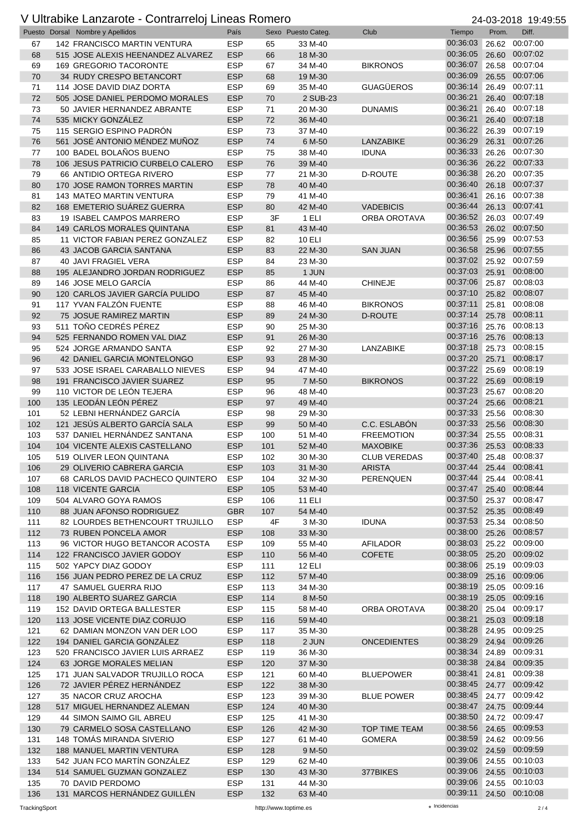|            | $Sn$ , $Sn$ , $Sn$ , $Sn$ , $Sn$ , $Sn$ , $Sn$<br>Puesto Dorsal Nombre y Apellidos | $-11100011011010$<br>País |            | Sexo Puesto Categ. | Club                 | Tiempo                              | $-1$ 00 $-0.10$<br>Prom. | <br>Diff.                        |
|------------|------------------------------------------------------------------------------------|---------------------------|------------|--------------------|----------------------|-------------------------------------|--------------------------|----------------------------------|
| 67         | 142 FRANCISCO MARTIN VENTURA                                                       | <b>ESP</b>                | 65         | 33 M-40            |                      | 00:36:03                            | 26.62                    | 00:07:00                         |
| 68         | 515 JOSE ALEXIS HEENANDEZ ALVAREZ                                                  | <b>ESP</b>                | 66         | 18 M-30            |                      | 00:36:05                            | 26.60                    | 00:07:02                         |
| 69         | 169 GREGORIO TACORONTE                                                             | <b>ESP</b>                | 67         | 34 M-40            | <b>BIKRONOS</b>      | 00:36:07                            | 26.58                    | 00:07:04                         |
| 70         | 34 RUDY CRESPO BETANCORT                                                           | <b>ESP</b>                | 68         | 19 M-30            |                      | 00:36:09                            | 26.55                    | 00:07:06                         |
| 71         | 114 JOSE DAVID DIAZ DORTA                                                          | <b>ESP</b>                | 69         | 35 M-40            | <b>GUAGÜEROS</b>     | 00:36:14                            | 26.49                    | 00:07:11                         |
| 72         | 505 JOSE DANIEL PERDOMO MORALES                                                    | <b>ESP</b>                | 70         | 2 SUB-23           |                      | 00:36:21                            | 26.40                    | 00:07:18                         |
| 73         | 50 JAVIER HERNANDEZ ABRANTE                                                        | <b>ESP</b>                | 71         | 20 M-30            | <b>DUNAMIS</b>       | 00:36:21                            | 26.40                    | 00:07:18                         |
| 74         | 535 MICKY GONZÁLEZ                                                                 | <b>ESP</b>                | 72         | 36 M-40            |                      | 00:36:21                            | 26.40                    | 00:07:18                         |
| 75         | 115 SERGIO ESPINO PADRÓN                                                           | <b>ESP</b>                | 73         | 37 M-40            |                      | 00:36:22                            | 26.39                    | 00:07:19                         |
| 76         | 561 JOSÉ ANTONIO MÉNDEZ MUÑOZ                                                      | <b>ESP</b>                | 74         | 6 M-50             | <b>LANZABIKE</b>     | 00:36:29                            | 26.31                    | 00:07:26                         |
| 77         | 100 BADEL BOLAÑOS BUENO                                                            | <b>ESP</b>                | 75         | 38 M-40            | <b>IDUNA</b>         | 00:36:33                            | 26.26                    | 00:07:30                         |
| 78         | 106 JESUS PATRICIO CURBELO CALERO                                                  | <b>ESP</b>                | 76         | 39 M-40            |                      | 00:36:36                            |                          | 26.22 00:07:33                   |
| 79         | 66 ANTIDIO ORTEGA RIVERO                                                           | <b>ESP</b>                | 77         | 21 M-30            | <b>D-ROUTE</b>       | 00:36:38                            | 26.20                    | 00:07:35                         |
| 80         | 170 JOSE RAMON TORRES MARTIN                                                       | <b>ESP</b>                | 78         | 40 M-40            |                      | 00:36:40                            | 26.18                    | 00:07:37                         |
| 81         | 143 MATEO MARTIN VENTURA                                                           | <b>ESP</b>                | 79         | 41 M-40            |                      | 00:36:41<br>00:36:44                |                          | 26.16 00:07:38<br>26.13 00:07:41 |
| 82         | 168 EMETERIO SUÁREZ GUERRA                                                         | <b>ESP</b>                | 80         | 42 M-40            | <b>VADEBICIS</b>     | 00:36:52                            |                          | 26.03 00:07:49                   |
| 83<br>84   | 19 ISABEL CAMPOS MARRERO<br>149 CARLOS MORALES QUINTANA                            | <b>ESP</b><br><b>ESP</b>  | 3F<br>81   | 1 ELI<br>43 M-40   | <b>ORBA OROTAVA</b>  | 00:36:53                            |                          | 26.02 00:07:50                   |
| 85         | 11 VICTOR FABIAN PEREZ GONZALEZ                                                    | <b>ESP</b>                | 82         | <b>10 ELI</b>      |                      | 00:36:56                            | 25.99                    | 00:07:53                         |
| 86         | 43 JACOB GARCIA SANTANA                                                            | <b>ESP</b>                | 83         | 22 M-30            | <b>SAN JUAN</b>      | 00:36:58                            | 25.96                    | 00:07:55                         |
| 87         | 40 JAVI FRAGIEL VERA                                                               | <b>ESP</b>                | 84         | 23 M-30            |                      | 00:37:02                            | 25.92                    | 00:07:59                         |
| 88         | 195 ALEJANDRO JORDAN RODRIGUEZ                                                     | <b>ESP</b>                | 85         | 1 JUN              |                      | 00:37:03                            | 25.91                    | 00:08:00                         |
| 89         | 146 JOSE MELO GARCÍA                                                               | <b>ESP</b>                | 86         | 44 M-40            | <b>CHINEJE</b>       | 00:37:06                            |                          | 25.87 00:08:03                   |
| 90         | 120 CARLOS JAVIER GARCÍA PULIDO                                                    | <b>ESP</b>                | 87         | 45 M-40            |                      | 00:37:10                            |                          | 25.82 00:08:07                   |
| 91         | 117 YVAN FALZÓN FUENTE                                                             | <b>ESP</b>                | 88         | 46 M-40            | <b>BIKRONOS</b>      | 00:37:11                            | 25.81                    | 00:08:08                         |
| 92         | 75 JOSUE RAMIREZ MARTIN                                                            | <b>ESP</b>                | 89         | 24 M-30            | <b>D-ROUTE</b>       | 00:37:14                            | 25.78                    | 00:08:11                         |
| 93         | 511 TOÑO CEDRÉS PÉREZ                                                              | <b>ESP</b>                | 90         | 25 M-30            |                      | 00:37:16                            | 25.76                    | 00:08:13                         |
| 94         | 525 FERNANDO ROMEN VAL DIAZ                                                        | <b>ESP</b>                | 91         | 26 M-30            |                      | 00:37:16                            | 25.76                    | 00:08:13                         |
| 95         | 524 JORGE ARMANDO SANTA                                                            | <b>ESP</b>                | 92         | 27 M-30            | LANZABIKE            | 00:37:18                            |                          | 25.73 00:08:15                   |
| 96         | 42 DANIEL GARCIA MONTELONGO                                                        | <b>ESP</b>                | 93         | 28 M-30            |                      | 00:37:20                            | 25.71                    | 00:08:17                         |
| 97         | 533 JOSE ISRAEL CARABALLO NIEVES                                                   | <b>ESP</b>                | 94         | 47 M-40            |                      | 00:37:22                            | 25.69                    | 00:08:19                         |
| 98         | 191 FRANCISCO JAVIER SUAREZ                                                        | <b>ESP</b>                | 95         | 7 M-50             | <b>BIKRONOS</b>      | 00:37:22                            | 25.69                    | 00:08:19                         |
| 99         | 110 VICTOR DE LEÓN TEJERA                                                          | <b>ESP</b>                | 96         | 48 M-40            |                      | 00:37:23                            |                          | 25.67 00:08:20                   |
| 100        | 135 LEODÁN LEÓN PÉREZ                                                              | <b>ESP</b>                | 97         | 49 M-40            |                      | 00:37:24                            |                          | 25.66 00:08:21                   |
| 101        | 52 LEBNI HERNÁNDEZ GARCÍA                                                          | <b>ESP</b>                | 98         | 29 M-30            |                      | 00:37:33                            | 25.56                    | 00:08:30                         |
| 102        | 121 JESÚS ALBERTO GARCÍA SALA                                                      | <b>ESP</b>                | 99         | 50 M-40            | C.C. ESLABÓN         | 00:37:33                            | 25.56                    | 00:08:30                         |
| 103<br>104 | 537 DANIEL HERNÁNDEZ SANTANA<br>104 VICENTE ALEXIS CASTELLANO                      | <b>ESP</b><br><b>ESP</b>  | 100        | 51 M-40            | <b>FREEMOTION</b>    | 00:37:34<br>00:37:36                | 25.53                    | 25.55 00:08:31<br>00:08:33       |
| 105        | 519 OLIVER LEON QUINTANA                                                           | <b>ESP</b>                | 101<br>102 | 52 M-40            | <b>MAXOBIKE</b>      | 00:37:40                            |                          | 25.48 00:08:37                   |
|            |                                                                                    | <b>ESP</b>                |            | 30 M-30<br>31 M-30 | <b>CLUB VEREDAS</b>  | 00:37:44 25.44 00:08:41             |                          |                                  |
| 106<br>107 | 29 OLIVERIO CABRERA GARCIA<br>68 CARLOS DAVID PACHECO QUINTERO                     | <b>ESP</b>                | 103<br>104 | 32 M-30            | ARISTA<br>PERENQUEN  | 00:37:44                            |                          | 25.44 00:08:41                   |
| 108        | 118 VICENTE GARCIA                                                                 | <b>ESP</b>                | 105        | 53 M-40            |                      | 00:37:47                            |                          | 25.40 00:08:44                   |
| 109        | 504 ALVARO GOYA RAMOS                                                              | <b>ESP</b>                | 106        | <b>11 ELI</b>      |                      | 00:37:50                            |                          | 25.37 00:08:47                   |
| 110        | 88 JUAN AFONSO RODRIGUEZ                                                           | <b>GBR</b>                | 107        | 54 M-40            |                      | 00:37:52 25.35 00:08:49             |                          |                                  |
| 111        | 82 LOURDES BETHENCOURT TRUJILLO                                                    | <b>ESP</b>                | 4F         | 3 M-30             | <b>IDUNA</b>         | 00:37:53                            |                          | 25.34 00:08:50                   |
| 112        | 73 RUBEN PONCELA AMOR                                                              | <b>ESP</b>                | 108        | 33 M-30            |                      | 00:38:00                            |                          | 25.26 00:08:57                   |
| 113        | 96 VICTOR HUGO BETANCOR ACOSTA                                                     | <b>ESP</b>                | 109        | 55 M-40            | <b>AFILADOR</b>      | 00:38:03                            |                          | 25.22 00:09:00                   |
| 114        | 122 FRANCISCO JAVIER GODOY                                                         | <b>ESP</b>                | 110        | 56 M-40            | <b>COFETE</b>        | 00:38:05                            |                          | 25.20 00:09:02                   |
| 115        | 502 YAPCY DIAZ GODOY                                                               | <b>ESP</b>                | 111        | <b>12 ELI</b>      |                      | 00:38:06                            | 25.19                    | 00:09:03                         |
| 116        | 156 JUAN PEDRO PEREZ DE LA CRUZ                                                    | <b>ESP</b>                | 112        | 57 M-40            |                      | 00:38:09                            |                          | 25.16 00:09:06                   |
| 117        | 47 SAMUEL GUERRA RIJO                                                              | <b>ESP</b>                | 113        | 34 M-30            |                      | 00:38:19                            |                          | 25.05 00:09:16                   |
| 118        | 190 ALBERTO SUAREZ GARCIA                                                          | <b>ESP</b>                | 114        | 8 M-50             |                      | 00:38:19                            |                          | 25.05 00:09:16                   |
| 119        | 152 DAVID ORTEGA BALLESTER                                                         | <b>ESP</b>                | 115        | 58 M-40            | ORBA OROTAVA         | 00:38:20                            | 25.04                    | 00:09:17                         |
| 120        | 113 JOSE VICENTE DIAZ CORUJO                                                       | <b>ESP</b>                | 116        | 59 M-40            |                      | 00:38:21                            | 25.03                    | 00:09:18                         |
| 121        | 62 DAMIAN MONZON VAN DER LOO                                                       | <b>ESP</b>                | 117        | 35 M-30            |                      | 00:38:28                            |                          | 24.95 00:09:25                   |
| 122        | 194 DANIEL GARCIA GONZÁLEZ                                                         | <b>ESP</b>                | 118        | 2 JUN              | ONCEDIENTES          | 00:38:29                            |                          | 24.94 00:09:26                   |
| 123        | 520 FRANCISCO JAVIER LUIS ARRAEZ                                                   | <b>ESP</b>                | 119        | 36 M-30            |                      | 00:38:34                            |                          | 24.89 00:09:31                   |
| 124        | 63 JORGE MORALES MELIAN                                                            | <b>ESP</b>                | 120        | 37 M-30            |                      | 00:38:38                            |                          | 24.84 00:09:35                   |
| 125        | 171 JUAN SALVADOR TRUJILLO ROCA                                                    | <b>ESP</b>                | 121        | 60 M-40            | <b>BLUEPOWER</b>     | 00:38:41                            | 24.81                    | 00:09:38                         |
| 126        | 72 JAVIER PÉREZ HERNÁNDEZ                                                          | <b>ESP</b>                | 122        | 38 M-30            |                      | 00:38:45                            |                          | 24.77 00:09:42<br>00:09:42       |
| 127        | 35 NACOR CRUZ AROCHA                                                               | <b>ESP</b>                | 123        | 39 M-30            | <b>BLUE POWER</b>    | 00:38:45                            | 24.77                    |                                  |
| 128        | 517 MIGUEL HERNANDEZ ALEMAN                                                        | <b>ESP</b>                | 124        | 40 M-30            |                      | 00:38:47 24.75 00:09:44<br>00:38:50 |                          | 24.72 00:09:47                   |
| 129<br>130 | 44 SIMON SAIMO GIL ABREU<br>79 CARMELO SOSA CASTELLANO                             | <b>ESP</b><br><b>ESP</b>  | 125<br>126 | 41 M-30<br>42 M-30 | <b>TOP TIME TEAM</b> | 00:38:56                            |                          | 24.65 00:09:53                   |
| 131        | 148 TOMÁS MIRANDA SIVERIO                                                          | <b>ESP</b>                | 127        | 61 M-40            | <b>GOMERA</b>        | 00:38:59                            |                          | 24.62 00:09:56                   |
| 132        | 188 MANUEL MARTIN VENTURA                                                          | <b>ESP</b>                | 128        | 9 M-50             |                      | 00:39:02                            |                          | 24.59 00:09:59                   |
| 133        | 542 JUAN FCO MARTÍN GONZÁLEZ                                                       | <b>ESP</b>                | 129        | 62 M-40            |                      | 00:39:06                            |                          | 24.55 00:10:03                   |
| 134        | 514 SAMUEL GUZMAN GONZALEZ                                                         | <b>ESP</b>                | 130        | 43 M-30            | 377BIKES             | 00:39:06 24.55 00:10:03             |                          |                                  |
| 135        | 70 DAVID PERDOMO                                                                   | <b>ESP</b>                | 131        | 44 M-30            |                      | 00:39:06                            |                          | 24.55 00:10:03                   |
| 136        | 131 MARCOS HERNÁNDEZ GUILLÉN                                                       | <b>ESP</b>                | 132        | 63 M-40            |                      | 00:39:11 24.50 00:10:08             |                          |                                  |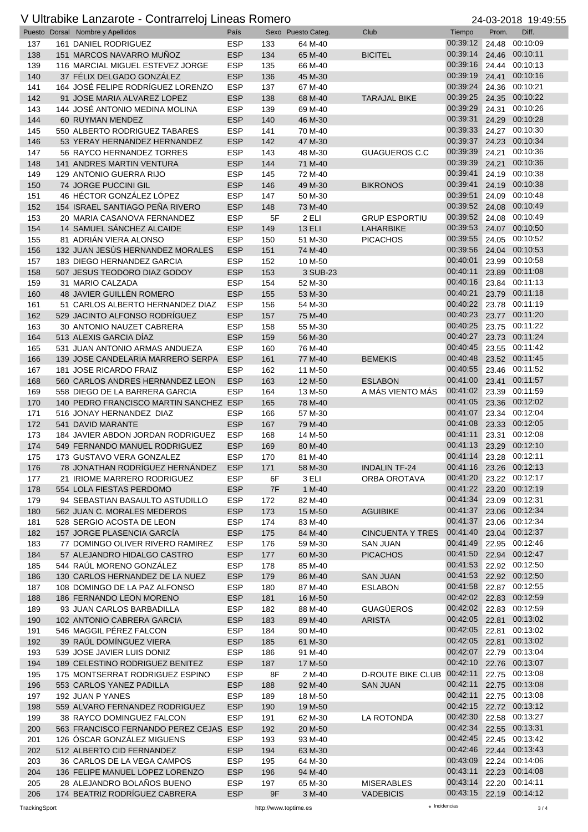|     | $\sim$ 0.000.00 Language contrariors Lineae remote<br>Puesto Dorsal Nombre y Apellidos | País       |     | Sexo Puesto Categ. | Club                       | Tiempo                  | $-1$ 00 $-0$ 10<br>Prom. | .<br>Diff.                       |
|-----|----------------------------------------------------------------------------------------|------------|-----|--------------------|----------------------------|-------------------------|--------------------------|----------------------------------|
| 137 | 161 DANIEL RODRIGUEZ                                                                   | <b>ESP</b> | 133 | 64 M-40            |                            | 00:39:12                | 24.48                    | 00:10:09                         |
| 138 | 151 MARCOS NAVARRO MUÑOZ                                                               | <b>ESP</b> | 134 | 65 M-40            | <b>BICITEL</b>             | 00:39:14                | 24.46                    | 00:10:11                         |
| 139 | 116 MARCIAL MIGUEL ESTEVEZ JORGE                                                       | <b>ESP</b> | 135 | 66 M-40            |                            | 00:39:16                |                          | 24.44 00:10:13                   |
| 140 | 37 FÉLIX DELGADO GONZÁLEZ                                                              | <b>ESP</b> |     | 45 M-30            |                            | 00:39:19                | 24.41                    | 00:10:16                         |
|     |                                                                                        |            | 136 |                    |                            | 00:39:24                |                          | 00:10:21                         |
| 141 | 164 JOSÉ FELIPE RODRÍGUEZ LORENZO                                                      | <b>ESP</b> | 137 | 67 M-40            |                            |                         | 24.36                    |                                  |
| 142 | 91 JOSE MARIA ALVAREZ LOPEZ                                                            | <b>ESP</b> | 138 | 68 M-40            | <b>TARAJAL BIKE</b>        | 00:39:25                | 24.35                    | 00:10:22                         |
| 143 | 144 JOSÉ ANTONIO MEDINA MOLINA                                                         | <b>ESP</b> | 139 | 69 M-40            |                            | 00:39:29                | 24.31                    | 00:10:26                         |
| 144 | 60 RUYMAN MENDEZ                                                                       | <b>ESP</b> | 140 | 46 M-30            |                            | 00:39:31                | 24.29                    | 00:10:28                         |
| 145 | 550 ALBERTO RODRIGUEZ TABARES                                                          | <b>ESP</b> | 141 | 70 M-40            |                            | 00:39:33                | 24.27                    | 00:10:30                         |
| 146 | 53 YERAY HERNANDEZ HERNANDEZ                                                           | <b>ESP</b> | 142 | 47 M-30            |                            | 00:39:37                | 24.23                    | 00:10:34                         |
| 147 | 56 RAYCO HERNANDEZ TORRES                                                              | <b>ESP</b> | 143 | 48 M-30            | GUAGUEROS C.C              | 00:39:39                | 24.21                    | 00:10:36                         |
| 148 | <b>141 ANDRES MARTIN VENTURA</b>                                                       | <b>ESP</b> | 144 | 71 M-40            |                            | 00:39:39                | 24.21                    | 00:10:36                         |
| 149 | 129 ANTONIO GUERRA RIJO                                                                | <b>ESP</b> | 145 | 72 M-40            |                            | 00:39:41                | 24.19                    | 00:10:38                         |
| 150 | 74 JORGE PUCCINI GIL                                                                   | <b>ESP</b> | 146 | 49 M-30            | <b>BIKRONOS</b>            | 00:39:41                | 24.19                    | 00:10:38                         |
| 151 | 46 HÉCTOR GONZÁLEZ LÓPEZ                                                               | <b>ESP</b> | 147 | 50 M-30            |                            | 00:39:51                |                          | 24.09 00:10:48                   |
| 152 | 154 ISRAEL SANTIAGO PEÑA RIVERO                                                        | <b>ESP</b> | 148 | 73 M-40            |                            | 00:39:52                | 24.08                    | 00:10:49                         |
| 153 | 20 MARIA CASANOVA FERNANDEZ                                                            | <b>ESP</b> | 5F  | 2 ELI              | <b>GRUP ESPORTIU</b>       | 00:39:52                |                          | 24.08 00:10:49                   |
| 154 | 14 SAMUEL SÁNCHEZ ALCAIDE                                                              | <b>ESP</b> | 149 | <b>13 ELI</b>      | LAHARBIKE                  | 00:39:53                |                          | 24.07 00:10:50                   |
| 155 | 81 ADRIÁN VIERA ALONSO                                                                 | <b>ESP</b> | 150 | 51 M-30            | <b>PICACHOS</b>            | 00:39:55                | 24.05                    | 00:10:52                         |
| 156 | 132 JUAN JESÚS HERNANDEZ MORALES                                                       | <b>ESP</b> | 151 | 74 M-40            |                            | 00:39:56                | 24.04                    | 00:10:53                         |
| 157 | 183 DIEGO HERNANDEZ GARCIA                                                             | <b>ESP</b> | 152 | 10 M-50            |                            | 00:40:01                |                          | 23.99 00:10:58                   |
| 158 | 507 JESUS TEODORO DIAZ GODOY                                                           | <b>ESP</b> | 153 | 3 SUB-23           |                            | 00:40:11                | 23.89                    | 00:11:08                         |
| 159 | 31 MARIO CALZADA                                                                       | <b>ESP</b> | 154 | 52 M-30            |                            | 00:40:16                |                          | 23.84 00:11:13                   |
| 160 | 48 JAVIER GUILLÉN ROMERO                                                               | <b>ESP</b> | 155 | 53 M-30            |                            | 00:40:21                |                          | 23.79 00:11:18                   |
| 161 | 51 CARLOS ALBERTO HERNANDEZ DIAZ                                                       | <b>ESP</b> | 156 | 54 M-30            |                            | 00:40:22                |                          | 23.78 00:11:19                   |
| 162 | 529 JACINTO ALFONSO RODRÍGUEZ                                                          | <b>ESP</b> | 157 | 75 M-40            |                            | 00:40:23                | 23.77                    | 00:11:20                         |
| 163 | 30 ANTONIO NAUZET CABRERA                                                              | <b>ESP</b> | 158 | 55 M-30            |                            | 00:40:25                |                          | 23.75 00:11:22                   |
| 164 | 513 ALEXIS GARCIA DÍAZ                                                                 | <b>ESP</b> | 159 | 56 M-30            |                            | 00:40:27                |                          | 23.73 00:11:24                   |
| 165 | 531 JUAN ANTONIO ARMAS ANDUEZA                                                         | <b>ESP</b> | 160 | 76 M-40            |                            | 00:40:45                |                          | 23.55 00:11:42                   |
| 166 | 139 JOSE CANDELARIA MARRERO SERPA                                                      | <b>ESP</b> | 161 | 77 M-40            | <b>BEMEKIS</b>             | 00:40:48                |                          | 23.52 00:11:45                   |
| 167 | 181 JOSE RICARDO FRAIZ                                                                 | <b>ESP</b> | 162 | 11 M-50            |                            | 00:40:55                | 23.46                    | 00:11:52                         |
| 168 | 560 CARLOS ANDRES HERNANDEZ LEON                                                       | <b>ESP</b> | 163 | 12 M-50            | <b>ESLABON</b>             | 00:41:00                | 23.41                    | 00:11:57                         |
| 169 | 558 DIEGO DE LA BARRERA GARCIA                                                         | <b>ESP</b> | 164 | 13 M-50            | A MÁS VIENTO MÁS           | 00:41:02                | 23.39                    | 00:11:59                         |
| 170 | 140 PEDRO FRANCISCO MARTIN SANCHEZ ESP                                                 |            | 165 | 78 M-40            |                            | 00:41:05                |                          | 23.36 00:12:02                   |
| 171 | 516 JONAY HERNANDEZ DIAZ                                                               | ESP        | 166 | 57 M-30            |                            | 00:41:07                |                          | 23.34 00:12:04                   |
| 172 | 541 DAVID MARANTE                                                                      | <b>ESP</b> | 167 | 79 M-40            |                            | 00:41:08                |                          | 23.33 00:12:05                   |
| 173 | 184 JAVIER ABDON JORDAN RODRIGUEZ                                                      | <b>ESP</b> | 168 | 14 M-50            |                            | 00:41:11                | 23.31                    | 00:12:08                         |
| 174 | 549 FERNANDO MANUEL RODRIGUEZ                                                          | <b>ESP</b> | 169 | 80 M-40            |                            | 00:41:13                |                          | 23.29 00:12:10                   |
| 175 | 173 GUSTAVO VERA GONZALEZ                                                              | <b>ESP</b> | 170 | 81 M-40            |                            | 00:41:14 23.28 00:12:11 |                          |                                  |
| 176 | 78 JONATHAN RODRÍGUEZ HERNÁNDEZ                                                        | <b>ESP</b> | 171 | 58 M-30            | INDALIN TF-24              | 00:41:16 23.26 00:12:13 |                          |                                  |
| 177 | 21 IRIOME MARRERO RODRIGUEZ                                                            | ESP        | 6F  | 3 ELI              | ORBA OROTAVA               | 00:41:20                |                          | 23.22 00:12:17                   |
| 178 | 554 LOLA FIESTAS PERDOMO                                                               | <b>ESP</b> | 7F  | 1 M-40             |                            | 00:41:22                |                          | 23.20 00:12:19                   |
| 179 | 94 SEBASTIAN BASAULTO ASTUDILLO                                                        | <b>ESP</b> |     | 82 M-40            |                            | 00:41:34                |                          | 23.09 00:12:31                   |
|     | 562 JUAN C. MORALES MEDEROS                                                            | <b>ESP</b> | 172 | 15 M-50            | <b>AGUIBIKE</b>            | 00:41:37                |                          | 23.06 00:12:34                   |
| 180 |                                                                                        |            | 173 |                    |                            | 00:41:37                |                          |                                  |
| 181 | 528 SERGIO ACOSTA DE LEON                                                              | <b>ESP</b> | 174 | 83 M-40            |                            | 00:41:40                |                          | 23.06 00:12:34                   |
| 182 | 157 JORGE PLASENCIA GARCÍA                                                             | <b>ESP</b> | 175 | 84 M-40            | <b>CINCUENTA Y TRES</b>    | 00:41:49                |                          | 23.04 00:12:37<br>22.95 00:12:46 |
| 183 | 77 DOMINGO OLIVER RIVERO RAMIREZ                                                       | <b>ESP</b> | 176 | 59 M-30            | <b>SAN JUAN</b>            |                         |                          |                                  |
| 184 | 57 ALEJANDRO HIDALGO CASTRO                                                            | <b>ESP</b> | 177 | 60 M-30            | <b>PICACHOS</b>            | 00:41:50                |                          | 22.94 00:12:47                   |
| 185 | 544 RAÚL MORENO GONZÁLEZ                                                               | <b>ESP</b> | 178 | 85 M-40            |                            | 00:41:53<br>00:41:53    |                          | 22.92 00:12:50                   |
| 186 | 130 CARLOS HERNANDEZ DE LA NUEZ                                                        | <b>ESP</b> | 179 | 86 M-40            | <b>SAN JUAN</b>            |                         |                          | 22.92 00:12:50                   |
| 187 | 108 DOMINGO DE LA PAZ ALFONSO                                                          | <b>ESP</b> | 180 | 87 M-40            | <b>ESLABON</b>             | 00:41:58                |                          | 22.87 00:12:55                   |
| 188 | 186 FERNANDO LEON MORENO                                                               | <b>ESP</b> | 181 | 16 M-50            |                            | 00:42:02                |                          | 22.83 00:12:59                   |
| 189 | 93 JUAN CARLOS BARBADILLA                                                              | <b>ESP</b> | 182 | 88 M-40            | <b>GUAGÜEROS</b>           | 00:42:02 22.83 00:12:59 |                          |                                  |
| 190 | 102 ANTONIO CABRERA GARCIA                                                             | <b>ESP</b> | 183 | 89 M-40            | <b>ARISTA</b>              | 00:42:05                | 22.81                    | 00:13:02                         |
| 191 | 546 MAGGIL PÉREZ FALCON                                                                | <b>ESP</b> | 184 | 90 M-40            |                            | 00:42:05                | 22.81                    | 00:13:02                         |
| 192 | 39 RAÚL DOMÍNGUEZ VIERA                                                                | <b>ESP</b> | 185 | 61 M-30            |                            | 00:42:05                | 22.81                    | 00:13:02                         |
| 193 | 539 JOSE JAVIER LUIS DONIZ                                                             | <b>ESP</b> | 186 | 91 M-40            |                            | 00:42:07                |                          | 22.79 00:13:04                   |
| 194 | 189 CELESTINO RODRIGUEZ BENITEZ                                                        | <b>ESP</b> | 187 | 17 M-50            |                            | 00:42:10                |                          | 22.76 00:13:07                   |
| 195 | 175 MONTSERRAT RODRIGUEZ ESPINO                                                        | <b>ESP</b> | 8F  | 2 M-40             | D-ROUTE BIKE CLUB 00:42:11 |                         |                          | 22.75 00:13:08                   |
| 196 | 553 CARLOS YANEZ PADILLA                                                               | <b>ESP</b> | 188 | 92 M-40            | <b>SAN JUAN</b>            | 00:42:11                |                          | 22.75 00:13:08                   |
| 197 | 192 JUAN P YANES                                                                       | <b>ESP</b> | 189 | 18 M-50            |                            | 00:42:11                |                          | 22.75 00:13:08                   |
| 198 | 559 ALVARO FERNANDEZ RODRIGUEZ                                                         | <b>ESP</b> | 190 | 19 M-50            |                            | 00:42:15                |                          | 22.72 00:13:12                   |
| 199 | 38 RAYCO DOMINGUEZ FALCON                                                              | <b>ESP</b> | 191 | 62 M-30            | LA ROTONDA                 | 00:42:30                |                          | 22.58 00:13:27                   |
| 200 | 563 FRANCISCO FERNANDO PEREZ CEJAS ESP                                                 |            | 192 | 20 M-50            |                            | 00:42:34                |                          | 22.55 00:13:31                   |
| 201 | 126 ÓSCAR GONZÁLEZ MIGUENS                                                             | ESP        | 193 | 93 M-40            |                            | 00:42:45                |                          | 22.45 00:13:42                   |
| 202 | 512 ALBERTO CID FERNANDEZ                                                              | <b>ESP</b> | 194 | 63 M-30            |                            | 00:42:46                |                          | 22.44 00:13:43                   |
| 203 | 36 CARLOS DE LA VEGA CAMPOS                                                            | <b>ESP</b> | 195 | 64 M-30            |                            | 00:43:09                |                          | 22.24 00:14:06                   |
| 204 | 136 FELIPE MANUEL LOPEZ LORENZO                                                        | <b>ESP</b> | 196 | 94 M-40            |                            | 00:43:11                |                          | 22.23 00:14:08                   |
| 205 | 28 ALEJANDRO BOLAÑOS BUENO                                                             | <b>ESP</b> | 197 | 65 M-30            | <b>MISERABLES</b>          | 00:43:14                |                          | 22.20 00:14:11                   |
| 206 | 174 BEATRIZ RODRÍGUEZ CABRERA                                                          | <b>ESP</b> | 9F  | 3 M-40             | <b>VADEBICIS</b>           | 00:43:15 22.19 00:14:12 |                          |                                  |